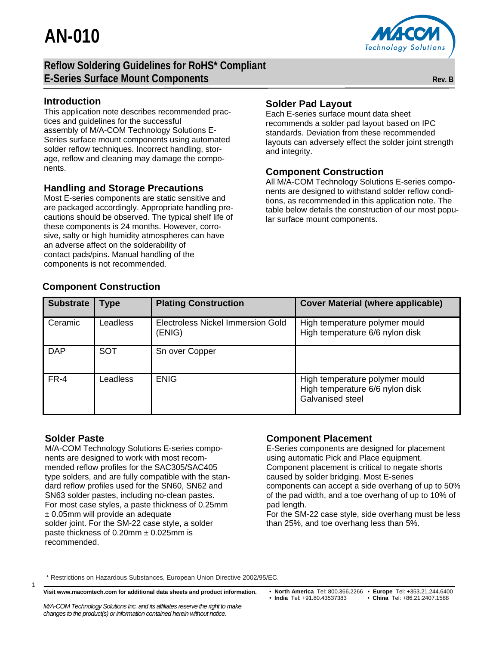**AN-010**



## **Reflow Soldering Guidelines for RoHS\* Compliant E-Series Surface Mount Components Rev. B Rev. B Rev. B**

#### **Introduction**

This application note describes recommended practices and guidelines for the successful assembly of M/A-COM Technology Solutions E-Series surface mount components using automated solder reflow techniques. Incorrect handling, storage, reflow and cleaning may damage the components.

### **Handling and Storage Precautions**

Most E-series components are static sensitive and are packaged accordingly. Appropriate handling precautions should be observed. The typical shelf life of these components is 24 months. However, corrosive, salty or high humidity atmospheres can have an adverse affect on the solderability of contact pads/pins. Manual handling of the components is not recommended.

## **Solder Pad Layout**

Each E-series surface mount data sheet recommends a solder pad layout based on IPC standards. Deviation from these recommended layouts can adversely effect the solder joint strength and integrity.

### **Component Construction**

All M/A-COM Technology Solutions E-series components are designed to withstand solder reflow conditions, as recommended in this application note. The table below details the construction of our most popular surface mount components.

| <b>Substrate</b> | Type            | <b>Plating Construction</b>                 | <b>Cover Material (where applicable)</b>                                              |
|------------------|-----------------|---------------------------------------------|---------------------------------------------------------------------------------------|
| Ceramic          | <b>Leadless</b> | Electroless Nickel Immersion Gold<br>(ENIG) | High temperature polymer mould<br>High temperature 6/6 nylon disk                     |
| <b>DAP</b>       | <b>SOT</b>      | Sn over Copper                              |                                                                                       |
| $FR-4$           | Leadless        | <b>ENIG</b>                                 | High temperature polymer mould<br>High temperature 6/6 nylon disk<br>Galvanised steel |

## **Component Construction**

## **Solder Paste**

1

M/A-COM Technology Solutions E-series components are designed to work with most recommended reflow profiles for the SAC305/SAC405 type solders, and are fully compatible with the standard reflow profiles used for the SN60, SN62 and SN63 solder pastes, including no-clean pastes. For most case styles, a paste thickness of 0.25mm ± 0.05mm will provide an adequate solder joint. For the SM-22 case style, a solder paste thickness of  $0.20$ mm  $\pm 0.025$ mm is recommended.

## **Component Placement**

E-Series components are designed for placement using automatic Pick and Place equipment. Component placement is critical to negate shorts caused by solder bridging. Most E-series components can accept a side overhang of up to 50% of the pad width, and a toe overhang of up to 10% of pad length.

For the SM-22 case style, side overhang must be less than 25%, and toe overhang less than 5%.

\* Restrictions on Hazardous Substances, European Union Directive 2002/95/EC.

*M/A-COM Technology Solutions Inc. and its affiliates reserve the right to make changes to the product(s) or information contained herein without notice.* 

• **North America** Tel: 800.366.2266 • **Europe** Tel: +353.21.244.6400 • **India** Tel: +91.80.43537383 • **China** Tel: +86.21.2407.1588

**Visit www.macomtech.com for additional data sheets and product information.**